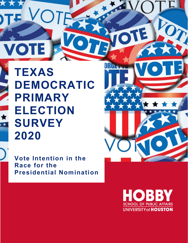**TEXAS DEMOCRATIC PRIMARY ELECTION SURVEY 2020**

**VOTE** 

**Vote Intention in the Race for the Presidential Nomination** 



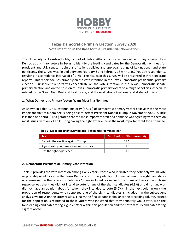

# **Texas Democratic Primary Election Survey 2020 Vote Intention in the Race for the Presidential Nomination**

The University of Houston Hobby School of Public Affairs conducted an online survey among likely Democratic primary voters in Texas to identify the leading candidates for the Democratic nominees for president and U.S. senator, opinions of salient policies and approval ratings of key national and state politicians. The survey was fielded between February 6 and February 18 with 1,352 YouGov respondents, resulting in a confidence interval of +/-2.7%. The results of this survey will be presented in three separate reports. This report focuses primarily on the vote intention in the Texas Democratic presidential primary election. Subsequent reports will concentrate on the vote intention in the Texas Democratic senate primary election and on the position of Texas Democratic primary voters on a range of policies, especially related to the Green New Deal and health care, and the evaluation of national and state politicians.

## **1. What Democratic Primary Voters Want Most in a Nominee**

As shown in Table 1, a substantial majority (57.1%) of Democratic primary voters believe that the most important trait of a nominee is being able to defeat President Donald Trump in November 2020. A little less than one-third (31.8%) stated that the most important trait of a nominee was agreeing with them on most issues, with only 11.1% listing having the right experience as the most important trait for a nominee.

| <b>Trait</b>                             | <b>Distribution of Responses (%)</b> |
|------------------------------------------|--------------------------------------|
| Can win the election against Trump       | 57.1                                 |
| Agrees with your position on most issues | 31.8                                 |
| Has the right experience                 | 11 1                                 |

## **Table 1: Most Important Democratic Presidential Nominee Trait**

## **2. Democratic Presidential Primary Vote Intention**

Table 2 provides the vote intention among likely voters (those who indicated they definitely would vote or probably would vote) in the Texas Democratic primary election. In one column, the eight candidates who remained in the race as of February 18 are included, along with the share of likely voters whose response was that they did not intend to vote for any of the eight candidates (4.3%) or did not know or did not have an opinion about for whom they intended to vote (5.0%). In the next column only the proportion of respondents who supported one of the eight candidates is included. In the subsequent analysis, we focus on the latter results. Finally, the final column is similar to the preceding column, except for the population is restricted to those voters who indicated that they definitely would vote, with the four leading candidates faring slightly better within this population and the bottom four candidates faring slightly worse.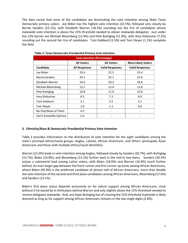The data reveal that none of the candidates are dominating the vote intention among likely Texas Democratic primary voters. Joe Biden has the highest vote intention (22.5%), followed very closely by Bernie Sanders (22.1%), with Elizabeth Warren (18.3%) rounding out the trio of candidates whose statewide vote intention is above the 15% threshold needed to obtain statewide delegates. Just under the 15% barrier are Michael Bloomberg (13.4%) and Pete Buttigieg (11.9%), with Amy Klobuchar (7.2%) rounding out the second tier trio of candidates. Tulsi Gabbard (3.5%) and Tom Steyer (1.1%) complete the field.

| <b>Vote Intention (Percentage)</b> |                      |                        |                           |  |  |
|------------------------------------|----------------------|------------------------|---------------------------|--|--|
|                                    | <b>All Voters</b>    | <b>All Voters</b>      | <b>Most Likely Voters</b> |  |  |
| Candidate                          | <b>All Responses</b> | <b>Valid Responses</b> | <b>Valid Responses</b>    |  |  |
| Joe Biden                          | 20.4                 | 22.5                   | 23.4                      |  |  |
| <b>Bernie Sanders</b>              | 20.1                 | 22.1                   | 22.6                      |  |  |
| Elizabeth Warren                   | 16.6                 | 18.3                   | 18.8                      |  |  |
| Michael Bloomberg                  | 12.2                 | 13.4                   | 13.8                      |  |  |
| Pete Buttigieg                     | 10.8                 | 11.9                   | 10.9                      |  |  |
| Amy Klobuchar                      | 6.5                  | 7.2                    | 6.9                       |  |  |
| Tulsi Gabbard                      | 3.1                  | 3.5                    | 3.1                       |  |  |
| Tom Steyer                         | 1.0                  | 1.1                    | 0.6                       |  |  |
| No One/None of Them                | 4.3                  |                        |                           |  |  |
| Don't Know/No Opinion              | 5.0                  |                        |                           |  |  |

 **Table 2: Texas Democratic Presidential Primary Vote Intention**

## **3. Ethnicity/Race & Democratic Presidential Primary Vote Intention**

Table 3 provides information on the distribution of vote intention for the eight candidates among the state's principal ethnic/racial groups: Anglos, Latinos, African Americans, and Others (principally Asian Americans and those with multiple ethnic/racial identities).

Warren (21.0%) leads in vote intention among Anglos, followed closely by Sanders (20.7%), with Buttigieg (15.7%), Biden (14.8%), and Bloomberg (13.1%) further back in the mid to low teens. Sanders (30.3%) enjoys a substantial lead among Latino voters, with Biden (18.9%) and Warren (16.8%) much further behind. An even larger gap between the front-runner and first runner-up exists among African Americans, where Biden (45.8%) is the preferred candidate of almost half of African Americans, more than double the vote intention of the second and third place candidates among African Americans, Bloomberg (17.0%) and Sanders (15.1%).

Biden's first place status depends exclusively on his robust support among African Americans, since without it he would be in third place behind Warren and only slightly above the 15% threshold needed to receive delegates statewide. And, any hope Buttigieg has of crossing the 15% threshold statewide is likely doomed as long as his support among African Americans remains in the low single digits (2.8%).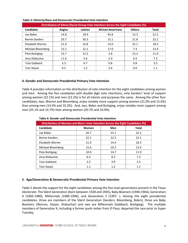| Distribution of Ethnic/Racial Group Vote Intention Across the Eight Candidates (%) |               |         |                          |               |              |
|------------------------------------------------------------------------------------|---------------|---------|--------------------------|---------------|--------------|
| Candidate                                                                          | <b>Anglos</b> | Latinos | <b>African Americans</b> | <b>Others</b> | <b>Total</b> |
| Joe Biden                                                                          | 14.8          | 18.9    | 45.8                     | 13.3          | 22.5         |
| <b>Bernie Sanders</b>                                                              | 20.7          | 30.3    | 15.1                     | 21.8          | 22.1         |
| Elizabeth Warren                                                                   | 21.0          | 16.8    | 13.0                     | 25.1          | 18.3         |
| Michael Bloomberg                                                                  | 13.1          | 12.1    | 17.0                     | 7.3           | 13.4         |
| Pete Buttigieg                                                                     | 15.7          | 12.5    | 2.8                      | 13.3          | 11.9         |
| Amy Klobuchar                                                                      | 11.0          | 3.6     | 2.9                      | 9.4           | 7.2          |
| Tulsi Gabbard                                                                      | 3.3           | 4.7     | 0.8                      | 9.8           | 3.5          |
| <b>Tom Stever</b>                                                                  | 0.5           | 1.2     | 2.6                      | 0.0           | 1.1          |

#### **Table 3: Ethnicity/Race and Democratic Presidential Vote Intention**

## **4. Gender and Democratic Presidential Primary Vote Intention**

Table 4 provides information on the distribution of vote intention for the eight candidates among women and men. Among the five candidates with double digit vote intentions, only Sanders' level of support among women (22.1%) and men (22.2%) is for all intents and purposes the same. Among the other four candidates, two, Warren and Bloomberg, enjoy notably more support among women (21.0% and 15.6%) than among men (14.4% and 10.2%). And, two, Biden and Buttigieg, enjoy notably more support among men (25.1% and 14.7%) than among women (20.7% and 10.0%).

| Distribution of Women and Men's Vote Intention Across the Eight Candidates (%) |         |      |              |  |  |  |  |
|--------------------------------------------------------------------------------|---------|------|--------------|--|--|--|--|
| Candidate                                                                      | Women   | Men  | <b>Total</b> |  |  |  |  |
| Joe Biden                                                                      | 20.7    | 25.1 | 22.5         |  |  |  |  |
| <b>Bernie Sanders</b>                                                          | 22.1    | 22.2 | 22.1         |  |  |  |  |
| Elizabeth Warren                                                               | 21.0    | 14.4 | 18.3         |  |  |  |  |
| Michael Bloomberg                                                              | 15.6    | 10.2 | 13.4         |  |  |  |  |
| Pete Buttigieg                                                                 | 10.0    | 14.7 | 11.9         |  |  |  |  |
| Amy Klobuchar                                                                  | 6.4     | 8.3  | 7.2          |  |  |  |  |
| Tulsi Gabbard                                                                  | 3.2     | 3.9  | 3.5          |  |  |  |  |
| <b>Tom Stever</b>                                                              | $1.1\,$ | 1.2  | 1.1          |  |  |  |  |

#### **Table 4: Gender and Democratic Presidential Vote Intention**

#### **5. Age/Generation & Democratic Presidential Primary Vote Intention**

Table 5 details the support for the eight candidates among the five main generations present in the Texas electorate: The Silent Generation (born between 1928 and 1945), Baby Boomers (1946-1964), Generation X (1965-1980), Millennials (1980-1996), and Generation Z (1997- ). Among the eight presidential candidates, three are members of the Silent Generation (Sanders, Bloomberg, Biden), three are Baby Boomers (Warren, Steyer, Klobuchar) and two are Millennials (Gabbard, Buttigieg). The multiple members of Generation X, including a former punk rocker from El Paso, departed the race prior to Super Tuesday.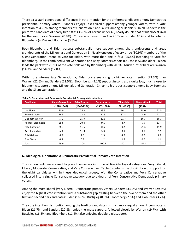There exist stark generational differences in vote intention for the different candidates among Democratic presidential primary voters. Sanders enjoys Texas-sized support among younger voters, with a vote intention of 43.6% among members of Generation Z and 37.8% among Millennials. In all, Sanders is the preferred candidate of nearly two-fifths (38.6%) of Texans under 40, nearly double that of his closest rival for the youth vote, Warren (20.9%). Conversely, fewer than 1 in 20 Texans under 40 intend to vote for Bloomberg (4.9%) and Klobuchar (3.3%).

Both Bloomberg and Biden possess substantially more support among the grandparents and great grandparents of the Millennials and Generation Z. Nearly one out of every three (30.9%) members of the Silent Generation intend to vote for Biden, with more than one in four (25.8%) intending to vote for Bloomberg. In the combined Silent Generation and Baby Boomers cohort (i.e., those 56 and older), Biden leads the pack with 26.1% of the vote, followed by Bloomberg with 20.9%. Much further back are Warren (14.3%) and Sanders (12.8%).

Within the intermediate Generation X, Biden possesses a slightly higher vote intention (23.3%) than Warren (22.6%) and Sanders (21.5%). Bloomberg's (9.1%) support in contrast is quite low, much closer to his anemic support among Millennials and Generation Z than to his robust support among Baby Boomers and the Silent Generation.

| <b>Candidate</b>      | <b>Silent Generation</b> | <b>Baby Boomers</b> | <b>Generation X</b> | <b>Millenials</b> | <b>Generation Z</b> | <b>Total</b> |
|-----------------------|--------------------------|---------------------|---------------------|-------------------|---------------------|--------------|
|                       | $(1928-1945)$            | $(1946-1964)$       | $(1965 - 1980)$     | $(1981 - 1996)$   | $(1997-)$           |              |
| Joe Biden             | 30.9                     | 25.3                | 23.3                | 16.1              | 13.0                | 22.5         |
| <b>Bernie Sanders</b> | 16.5                     | 12.2                | 21.5                | 37.8              | 43.6                | 22.1         |
| Elizabeth Warren      | 5.1                      | 15.9                | 22.6                | 21.7              | 16.3                | 18.3         |
| Michael Bloomberg     | 25.8                     | 20.0                | 9.1                 | 4.7               | 5.9                 | 13.4         |
| Pete Buttigieg        | 9.1                      | 11.6                | 14.2                | 9.2               | 21.3                | 11.9         |
| Amy Klobuchar         | 6.0                      | 11.3                | 5.3                 | 3.9               | 0.0                 | 7.2          |
| Tulsi Gabbard         | 6.0                      | 2.8                 | 2.9                 | 4.9               | 0.0                 | 3.5          |
| Tom Steyer            | 0.5                      | 0.9                 | 1.2                 | 1.8               | 0.0                 | 1.1          |
| Total                 | 99.9                     | 100                 | 100.1               | 100.1             | 101.1               | 100          |

#### **Table 5: Generation and Democratic Presidential Primary Vote Intention**

## **6. Ideological Orientation & Democratic Presidential Primary Vote Intention**

The respondents were asked to place themselves into one of five ideological categories: Very Liberal, Liberal, Moderate, Conservative, and Very Conservative. Table 6 contains the distribution of support for the eight candidates within these ideological groups, with the Conservative and Very Conservative collapsed into a single Conservative category due to a dearth of Very Conservative Democratic primary voters.

Among the most liberal (Very Liberal) Democratic primary voters, Sanders (33.9%) and Warren (29.6%) enjoy the highest vote intention with a substantial gap existing between the two of them and the other first and second tier candidates: Biden (16.6%), Buttigieg (8.5%), Bloomberg (7.5%) and Klobuchar (3.2%).

The vote intention distribution among the leading candidates is much more equal among Liberal voters. Biden (21.7%) and Sanders (20.8%) enjoy the most support, followed closely by Warren (19.7%), with Buttigieg (16.8%) and Bloomberg (11.4%) also enjoying double-digit support.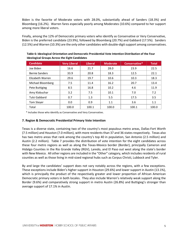Biden is the favorite of Moderate voters with 28.0%, substantially ahead of Sanders (18.3%) and Bloomberg (16.2%). Warren fares especially poorly among Moderates (10.6%) compared to her support among more liberal voters.

Finally, among the 12% of Democratic primary voters who identify as Conservative or Very Conservative, Biden is the preferred candidate (23.9%), followed by Bloomberg (20.7%) and Gabbard (17.5%). Sanders (12.5%) and Warren (10.3%) are the only other candidates with double-digit support among conservatives.

| <b>Candidate</b>      | <b>Very Liberal</b> | <b>Liberal</b> | <b>Moderate</b> | Conservative* | <b>Total</b> |
|-----------------------|---------------------|----------------|-----------------|---------------|--------------|
| Joe Biden             | 16.6                | 21.7           | 28.0            | 23.9          | 22.5         |
| <b>Bernie Sanders</b> | 33.9                | 20.8           | 18.3            | 12.5          | 22.1         |
| Elizabeth Warren      | 29.6                | 19.7           | 10.6            | 10.3          | 18.3         |
| Michael Bloomberg     | 7.5                 | 11.4           | 16.2            | 20.7          | 13.4         |
| Pete Buttigieg        | 8.5                 | 16.8           | 10.2            | 4.6           | 11.9         |
| Amy Klobuchar         | 3.2                 | 7.5            | 10.1            | 7.0           | 7.2          |
| Tulsi Gabbard         | 0.7                 | 1.3            | 5.5             | 17.5          | 3.5          |
| <b>Tom Stever</b>     | 0.0                 | 0.9            | 1.1             | 3.6           | 1.1          |
| Total                 | 100.0               | 100.1          | 100.0           | 100.1         | 100.0        |

**Table 6: Ideological Orientation and Democratic Presidential Vote Intention Distribution of the Four Ideological Groups Across the Eight Candidates**

\* Includes those who identify as Conservative and Very Conservative.

## **7. Region & Democratic Presidential Primary Vote Intention**

Texas is a diverse state, containing two of the country's most populous metro areas, Dallas-Fort Worth (7.5 million) and Houston (7.0 million), with more residents than 37 and 36 states respectively. Texas also has two metro areas that rank among the country's top 40 in population, San Antonio (2.5 million) and Austin (2.2 million). Table 7 provides the distribution of vote intention for the eight candidates across these four metro regions as well as along the Texas-Mexico border (Border), principally Cameron and Hidalgo Counties in the Rio Grande Valley (RGV), Laredo, and El Paso out west along the state's border with New Mexico. All other regions are included in the "Other" category, which includes residents of rural counties as well as those living in mid-sized regional hubs such as Corpus Christi, Lubbock and Tyler.

By and large the candidates' support does not vary notably across the regions, with a few exceptions. These exceptions include Biden's higher support in Houston (29.6%) and lower support in Austin (13.1%), which is principally the product of the respectively greater and lower proportion of African American Democratic primary voters in both locales. They also include Warren's relatively weak support along the Border (9.6%) and comparatively strong support in metro Austin (26.8%) and Buttigieg's stronger than average support of 17.1% in Austin.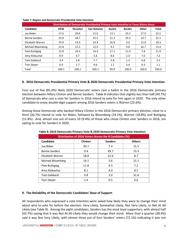|                       |            | Distribution of Democratic Presidential Primary Vote Intention in Texas Metro Areas |                    |               |               |       |              |
|-----------------------|------------|-------------------------------------------------------------------------------------|--------------------|---------------|---------------|-------|--------------|
| Candidate             | <b>DFW</b> | Houston                                                                             | <b>San Antonio</b> | <b>Austin</b> | <b>Border</b> | Other | <b>Total</b> |
| Joe Biden             | 17.6       | 29.6                                                                                | 15.0               | 13.1          | 33.2          | 27.9  | 22.5         |
| <b>Bernie Sanders</b> | 23.8       | 18.7                                                                                | 25.5               | 21.2          | 29.3          | 19.7  | 22.1         |
| Elizabeth Warren      | 19.9       | 14.9                                                                                | 24.4               | 26.8          | 9.6           | 13.8  | 18.3         |
| Michael Bloomberg     | 12.8       | 15.3                                                                                | 12.9               | 9.2           | 9.8           | 16.7  | 13.4         |
| Pete Buttigieg        | 12.8       | 10.4                                                                                | 14.4               | 17.1          | 11.0          | 7.8   | 11.9         |
| Amy Klobuchar         | 8.9        | 6.7                                                                                 | 5.6                | 8.6           | 2.4           | 7.0   | 7.2          |
| Tulsi Gabbard         | 3.4        | 2.8                                                                                 | 1.7                | 2.8           | 1.3           | 6.8   | 3.5          |
| Tom Steyer            | 0.9        | 1.7                                                                                 | 0.6                | 1.1           | 3.4           | 0.3   | 1.1          |
| Total                 | 100.1      | 100.1                                                                               | 100.1              | 99.9          | 100.0         | 100.0 | 100.0        |

#### **Table 7: Region and Democratic Presidential Vote Intention**

## **8. 2016 Democratic Presidential Primary Vote & 2020 Democratic Presidential Primary Vote Intention**

Four out of five (81.0%) likely 2020 Democratic voters cast a ballot in the 2016 Democratic primary election between Hillary Clinton and Bernie Sanders. Table 8 indicates that slightly less than half (49.7%) of Democrats who cast a vote for Sanders in 2016 intend to vote for him again in 2020. The only other candidate to enjoy double-digit support among 2016 Sanders voters is Warren (22.6%).

Among those Democrats who backed Hillary Clinton in the 2016 Democratic primary election, close to a third (30.7%) intend to vote for Biden, followed by Bloomberg (19.1%), Warren (18.8%) and Buttigieg (11.8%). And, almost one out of every 10 (9.4%) of those who chose Clinton over Sanders in 2016, are opting to vote for Sanders in 2020.

| Distribution of 2016 Voters Across the 8 Candidates (%) |         |                |               |  |  |  |  |
|---------------------------------------------------------|---------|----------------|---------------|--|--|--|--|
| Candidate                                               | Clinton | <b>Sanders</b> | <b>Others</b> |  |  |  |  |
| Joe Biden                                               | 30.7    | 7.4            | 15.5          |  |  |  |  |
| <b>Bernie Sanders</b>                                   | 9.4     | 49.7           | 13.3          |  |  |  |  |
| Elizabeth Warren                                        | 18.8    | 22.6           | 8.7           |  |  |  |  |
| Michael Bloomberg                                       | 19.1    | 3.6            | 15.1          |  |  |  |  |
| Pete Buttigieg                                          | 11.8    | 9.3            | 7.2           |  |  |  |  |
| Amy Klobuchar                                           | 8.1     | 4.0            | 8.5           |  |  |  |  |
| Tulsi Gabbard                                           | 0.8     | 3.0            | 31.8          |  |  |  |  |
| <b>Tom Stever</b>                                       | 1.4     | 0.5            | 0.0           |  |  |  |  |

**Table 8: 2016 Democratic Primary Vote & 2020 Democratic Primary Vote Intention**

## **9. The Reliability of the Democratic Candidates' Base of Support**

All respondents who expressed a vote intention were asked how likely they were to change their mind about who to vote for before the election: Very Likely, Somewhat Likely, Not Very Likely, or Not At All Likely (see Table 9). Among the eight candidates, Sanders has the most loyal supporters, with almost half (43.7%) saying that it was Not At All Likely they would change their mind. More than a quarter (28.4%) said it was Not Very Likely, with almost three out of four Sanders' voters (72.1%) indicating it was not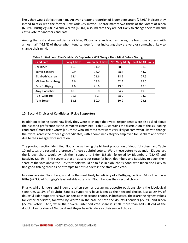likely they would defect from him. An even greater proportion of Bloomberg voters (77.9%) indicate they intend to stick with the former New York City mayor. Approximately two-thirds of the voters of Biden (69.8%), Buttigieg (68.8%) and Warren (66.0%) also indicate they are not likely to change their mind and cast a vote for another candidate.

Among the first and second tier candidates, Klobuchar stands out as having the least loyal voters, with almost half (46.3%) of those who intend to vote for her indicating they are very or somewhat likely to change their mind.

| <b>Candidate</b>      | <b>Very Likely</b> | Somewhat Likely | <b>Not Very Likely</b> | Not At All Likely |
|-----------------------|--------------------|-----------------|------------------------|-------------------|
| Joe Biden             | 16.3               | 14.0            | 38.8                   | 31.0              |
| <b>Bernie Sanders</b> | 9.9                | 18.0            | 28.4                   | 43.7              |
| Elizabeth Warren      | 12.4               | 21.6            | 38.5                   | 27.5              |
| Michael Bloomberg     | 3.6                | 18.6            | 52.4                   | 25.5              |
| Pete Buttigieg        | 4.6                | 26.6            | 49.5                   | 19.3              |
| Amy Klobuchar         | 10.3               | 36.0            | 34.7                   | 19.0              |
| Tulsi Gabbard         | 31.6               | 5.3             | 28.9                   | 34.2              |
| Tom Stever            | 33.5               | 30.0            | 10.9                   | 25.6              |

**Table 9: Likelihood The Candidate's Supporters Will Change Their Mind Before Voting**

## **10. Second Choices of Candidates' Fickle Supporters**

In addition to being asked how likely they were to change their vote, respondents were also asked about their second preference as the Democratic nominee. Table 10 contains the distribution of the six leading candidates' most fickle voters (i.e., those who indicated they were very likely orsomewhat likely to change their vote) across the other eight candidates, with a combined category employed for Gabbard and Steyer due to their meager vote intention.

The previous section identified Klobuchar as having the highest proportion of doubtful voters, and Table 10 indicates the second preference of these doubtful voters. Were these voters to abandon Klobuchar, the largest share would switch their support to Biden (35.3%) followed by Bloomberg (25.4%) and Buttigieg (21.1%). This suggests that an auspicious route for both Bloomberg and Buttigieg to boost their share of the vote above the 15% threshold would be to fish in Klobuchar's pond, with Biden also likely to find good fishing there as he attempts to best Sanders in the statewide vote.

In a similar vein, Bloomberg would be the most likely beneficiary of a Buttigieg decline. More than twofifths (42.3%) of Buttigieg's least reliable voters list Bloomberg as their second choice.

Finally, while Sanders and Biden are often seen as occupying opposite positions along the ideological spectrum, 31.5% of doubtful Sanders supporters have Biden as their second choice, just as 29.6% of doubtful Biden supporters have Sanders as their second choice. In both cases, these are the highest values for either candidate, followed by Warren in the case of both the doubtful Sanders (22.7%) and Biden (22.2%) voters. And, while their overall intended vote share is small, more than half (50.2%) of the doubtful supporters of Gabbard and Steyer have Sanders as their second choice.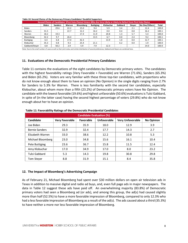| Second Choice of Candidates' (First Vote Choice) Voters Who Are Very Likely or Likely to Defect from First Vote Choice |                          |                          |                          |                  |                          |           |                          |               |               |              |
|------------------------------------------------------------------------------------------------------------------------|--------------------------|--------------------------|--------------------------|------------------|--------------------------|-----------|--------------------------|---------------|---------------|--------------|
|                                                                                                                        | <b>Biden</b>             | <b>Sanders</b>           | Warren                   | <b>Bloomberg</b> | <b>Buttigieg</b>         | Klobuchar | Gabbard                  | <b>Stever</b> | No One/Others | <b>Total</b> |
| <b>Biden</b>                                                                                                           | $\overline{\phantom{a}}$ | 29.6                     | 22.2                     | 15.0             | 9.4                      | 5.9       | 3.4                      | 2.1           | 12.4          | 100.0        |
| Sanders                                                                                                                | 31.5                     | $\overline{\phantom{a}}$ | 22.7                     | 12.2             | 16.2                     | 0.0       | 0.4                      | 0.8           | 16.2          | 100.1        |
| Warren                                                                                                                 | 18.2                     | 19.3                     | $\overline{\phantom{a}}$ | 17.4             | 11.9                     | 20.8      | 1.3                      | 5.7           | 5.4           | 100.0        |
| Bloomberg                                                                                                              | 32.2                     | 9.7                      | 26.4                     |                  | 13.5                     | 6.7       | 0.0                      | 2.4           | 9.2           | 100.1        |
| <b>Buttigieg</b>                                                                                                       | 6.4                      | 6.8                      | 17.0                     | 42.3             | $\overline{\phantom{a}}$ | 13.9      | 1.0                      | 0.0           | 12.7          | 100.1        |
| Klobuchar                                                                                                              | 35.3                     | 0.8                      | 9.3                      | 25.4             | 21.1                     |           | 6.2                      | 0.0           | 1.9           | 100.0        |
| Gabbard/Steyer                                                                                                         | 6.8                      | 50.2                     | 2.9                      | 5.9              | 7.9                      | 12.3      | $\overline{\phantom{a}}$ |               | 14.0          | 100.0        |

#### **Table 10: Second Choice of the Democracy Primary Candidates' Doubtful Supporters**

Note: Due to the small number of cases as well as their joint status and similar distribution of second preferences, Gabbard and Steyer are combined here.

#### **11. Evaluations of the Democratic Presidential Primary Candidates**

Table 11 contains the evaluations of the eight candidates by Democratic primary voters. The candidates with the highest favorability ratings (Very Favorable + Favorable) are Warren (71.6%), Sanders (65.3%) and Biden (65.2%). Voters are very familiar with these three top-tier candidates, with proportions who do not know enough about them to have an opinion (No Opinion) in the single digits ranging from 2.7% for Sanders to 5.3% for Warren. There is less familiarity with the second tier candidates, especially Klobuchar, about whom more than a fifth (23.2%) of Democratic primary voters have No Opinion. The candidate with the lowest favorable (19.6%) and highest unfavorable (50.6%) evaluations is Tulsi Gabbard, in spite of (in the latter case) having the second highest percentage of voters (29.8%) who do not know enough about her to have an opinion.

| <b>Candidate Evaluation (%)</b> |                       |           |             |                         |                   |
|---------------------------------|-----------------------|-----------|-------------|-------------------------|-------------------|
| Candidate                       | <b>Very Favorable</b> | Favorable | Unfavorable | <b>Very Unfavorable</b> | <b>No Opinion</b> |
| Joe Biden                       | 29.3                  | 35.9      | 18.0        | 12.9                    | 3.9               |
| <b>Bernie Sanders</b>           | 32.9                  | 32.4      | 17.7        | 14.3                    | 2.7               |
| Elizabeth Warren                | 33.0                  | 38.6      | 12.2        | 10.8                    | 5.3               |
| Michael Bloomberg               | 23.0                  | 34.8      | 15.6        | 16.1                    | 10.4              |
| Pete Buttigieg                  | 23.6                  | 36.7      | 15.8        | 11.5                    | 12.4              |
| Amy Klobuchar                   | 17.0                  | 34.9      | 17.0        | 8.0                     | 23.2              |
| Tulsi Gabbard                   | 5.3                   | 14.3      | 19.8        | 30.8                    | 29.8              |
| <b>Tom Stever</b>               | 8.8                   | 31.9      | 15.1        | 8.4                     | 35.8              |

**Table 11: Favorability Ratings of the Democratic Presidential Candidates**

#### **12. The Impact of Bloomberg's Advertising Campaign**

As of February 21, Michael Bloomberg had spent over \$30 million dollars on open air television ads in Texas in addition to massive digital and radio ad buys, and, even full page ads in major newspapers. The data in Table 12 suggest these ads have paid off. An overwhelming majority (83.8%) of Democratic primary voters had seen a Bloomberg ad (or ads), and among this group, the ad(s) had caused slightly more than half (52.5%) to have a more favorable impression of Bloomberg, compared to only 12.3% who had a less favorable impression of Bloomberg as a result of the ad(s). The ads caused about a third (35.3%) to have neither a more nor less favorable impression of Bloomberg.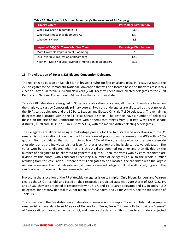| <b>Primary Voters</b>                  | <b>Percentage Distribution</b> |
|----------------------------------------|--------------------------------|
| Who Have Seen a Bloomberg Ad           | 83.8                           |
| Who Have Not Seen a Bloomberg Ad       | 13.4                           |
| Who Don't Know                         | 2.8                            |
|                                        |                                |
| Impact of Ad(s) On Those Who Saw Them  | <b>Percentage Distribution</b> |
| More Favorable Impression of Bloomberg | 52.5                           |
|                                        |                                |
| Less Favorable Impression of Bloomberg | 12.3                           |

#### **Table 12: The Impact of Michael Bloomberg's Unprecedented Ad Campaign**

## **13. The Allocation of Texas's 228 Elected Convention Delegates**

The real prize to be won on March 3 is not bragging rights for first or second place in Texas, but rather the 228 delegates to the Democratic National Convention that will be allocated based on the votes cast in this election. After California (415) and New York (274), Texas will send more elected delegates to the 2020 Democratic National Convention in Milwaukee than any other state.

Texas's 228 delegates are assigned in 33 separate allocation processes, all of which though are based on the single vote cast by Democratic primary voters. Two sets of delegates are allocated at the state level, the 49 At-Large delegates and the 30 Party Leaders and Elected Officials (PLEO) delegates. The remaining delegates are allocated within the 31 Texas Senate districts. The districts have a number of delegates (based on the size of the Democratic vote within them) that ranges from 2 in two West Texas senate districts (SD-28 and SD-31) to 10 in Austin's SD-14, with the median district electing 5 delegates.

The delegates are allocated using a multi-stage process for the two statewide allocations and the 31 senate district allocations known as the LR-Hare form of proportional representation (PR) with a 15% quota. First, candidates that do not win at least 15% of the vote (statewide for the two statewide allocations or at the individual district level for that allocation) are ineligible to receive delegates. The votes won by the candidates who met this threshold are summed together and then divided by the number of delegates to be allocated to generate a quota. Then, the votes won by each candidate are divided by this quota, with candidates receiving a number of delegates equal to the whole number resulting from this calculation. If there are still delegates to be allocated, the candidate with the largest remainder receives the first delegate, and, if there is a second delegate still to be allocated, it goes to the candidate with the second largest remainder, etc.

Projecting the allocation of the 79 statewide delegates is quite simple. Only Biden, Sanders and Warren cleared the 15% threshold, and based on their respective predicted statewide vote shares of 22.5%, 22.1% and 18.3%, they are projected to respectively win 18, 17, and 14 At-Large delegates and 11, 10 and 9 PLEO delegates, for a statewide total of 29 for Biden, 27 for Sanders, and 23 for Warren. See the top section of Table 13.

The projection of the 149 district-level delegates is however not so simple. To accomplish that we employ senate-district level data from 10 years of University of Texas/Texas Tribune polls to provide a "census" of Democratic primary voters in the district, and then use the data from this survey to estimate a projected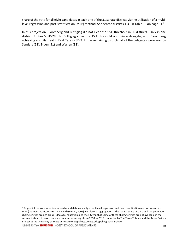share of the vote for all eight candidates in each one of the 31 senate districts via the utilization of a multi-level regression and post-stratification (MRP) method. See senate districts [1](#page-10-0)-31 in Table 13 on page 11.<sup>1</sup>

In this projection, Bloomberg and Buttigieg did not clear the 15% threshold in 30 districts. Only in one district, El Paso's SD-29, did Buttigieg cross the 15% threshold and win a delegate, with Bloomberg achieving a similar feat in East Texas's SD-3. In the remaining districts, all of the delegates were won by Sanders (58), Biden (51) and Warren (38).

UNIVERSITY of **HOUSTON** HOBBY SCHOOL OF PUBLIC AFFAIRS

<span id="page-10-0"></span><sup>&</sup>lt;sup>1</sup> To predict the vote intention for each candidate we apply a multilevel regression and post-stratification method known as MRP (Gelman and Little, 1997; Park and Gelman, 2004). Our level of aggregation is the Texas senate district, and the population characteristics are age group, ideology, education, and race. Given that some of these characteristics are not available in the census, instead of census data we use a set of surveys from 2010 to 2019 conducted by The Texas Tribune and the Texas Politics Project at the University of Texas at Austin (texaspolitics.utexas.edu/polling-data-archive).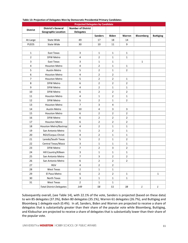| <b>Projected Delegates by Candidate</b> |                                 |                           |                |                |                |                  |                  |  |
|-----------------------------------------|---------------------------------|---------------------------|----------------|----------------|----------------|------------------|------------------|--|
| <b>District</b>                         | <b>District's General</b>       | <b>Number of District</b> |                |                |                |                  |                  |  |
|                                         | <b>Geographic Location</b>      | <b>Delegates</b>          |                |                |                |                  |                  |  |
|                                         |                                 |                           | <b>Sanders</b> | <b>Biden</b>   | Warren         | <b>Bloomberg</b> | <b>Buttigieg</b> |  |
| At-Large                                | <b>State Wide</b>               | 49                        | 17             | 18             | 14             |                  |                  |  |
| <b>PLEOS</b>                            | State Wide                      | 30                        | 10             | 11             | 9              |                  |                  |  |
|                                         |                                 |                           |                |                |                |                  |                  |  |
| 1                                       | East Texas                      | $\mathsf{3}$              | $\mathbf{1}$   | $\mathbf{1}$   | $\mathbf{1}$   |                  |                  |  |
| $\overline{2}$                          | <b>DFW Metro</b>                | $\overline{\mathbf{4}}$   | $\overline{2}$ | $\mathbf{1}$   | $\mathbf{1}$   |                  |                  |  |
| 3                                       | East Texas                      | $\mathsf{3}$              | $\mathbf{1}$   | $\mathbf{1}$   |                | $\mathbf{1}$     |                  |  |
| 4                                       | <b>Houston Metro</b>            | $\overline{4}$            | $\overline{2}$ | $\mathbf{1}$   | $\mathbf{1}$   |                  |                  |  |
| 5                                       | <b>Austin Metro</b>             | 5                         | $\overline{2}$ | $\mathbf{1}$   | $\overline{2}$ |                  |                  |  |
| 6                                       | Houston Metro                   | 4                         | $\overline{2}$ | $\overline{2}$ |                |                  |                  |  |
| 7                                       | <b>Houston Metro</b>            | 5                         | $\overline{2}$ | $\overline{2}$ | $\mathbf{1}$   |                  |                  |  |
| 8                                       | DFW Metro                       | 6                         | $\overline{2}$ | $\overline{2}$ | $\overline{2}$ |                  |                  |  |
| 9                                       | DFW Metro                       | 4                         | $\overline{2}$ | $\mathbf{1}$   | $\mathbf{1}$   |                  |                  |  |
| 10                                      | DFW Metro                       | 6                         | $\overline{2}$ | $\overline{2}$ | $\overline{2}$ |                  |                  |  |
| 11                                      | <b>Houston Metro</b>            | 4                         | $\mathbf{1}$   | $\overline{2}$ | $\mathbf{1}$   |                  |                  |  |
| 12                                      | <b>DFW Metro</b>                | 5                         | $\overline{2}$ | $\mathbf 1$    | $\overline{2}$ |                  |                  |  |
| 13                                      | <b>Houston Metro</b>            | $\overline{7}$            | 3              | 4              |                |                  |                  |  |
| 14                                      | <b>Austin Metro</b>             | 10                        | 4              | 3              | 3              |                  |                  |  |
| 15                                      | <b>Houston Metro</b>            | 6                         | $\overline{2}$ | $\overline{2}$ | $\overline{2}$ |                  |                  |  |
| 16                                      | <b>DFW Metro</b>                | 6                         | $\overline{2}$ | $\overline{2}$ | $\overline{2}$ |                  |                  |  |
| 17                                      | <b>Houston Metro</b>            | 6                         | $\overline{2}$ | $\overline{2}$ | $\overline{2}$ |                  |                  |  |
| 18                                      | Houston Metro/Bastrop           | $\pmb{4}$                 | $\overline{2}$ | $\mathbf 1$    | $\mathbf{1}$   |                  |                  |  |
| 19                                      | San Antonio Metro               | 5                         | $\overline{2}$ | $\overline{2}$ | $\mathbf{1}$   |                  |                  |  |
| 20                                      | RGV/Corpus Christi              | 4                         | 2              | 1              | 1              |                  |                  |  |
| 21                                      | Laredo/South Texas              | 5                         | $\overline{2}$ | $\mathbf{1}$   | $\overline{2}$ |                  |                  |  |
| 22                                      | Central Texas/Waco              | $\mathsf 3$               | $\mathbf{1}$   | $\mathbf{1}$   | $\mathbf{1}$   |                  |                  |  |
| 23                                      | DFW Metro                       | $\overline{\phantom{a}}$  | 2              | 3              | $\mathbf 2$    |                  |                  |  |
| 24                                      | Hill Country/Killeen            | $\mathsf 3$               | $\mathbf{1}$   | $\mathbf{1}$   | $\mathbf 1$    |                  |                  |  |
| 25                                      | San Antonio Metro               | $\overline{7}$            | 3              | $\overline{2}$ | $\overline{2}$ |                  |                  |  |
| 26                                      | San Antonio Metro               | 6                         | 2              | 2              | 2              |                  |                  |  |
| 27                                      | RGV                             | 4                         | $\overline{2}$ | $\overline{2}$ |                |                  |                  |  |
| 28                                      | West Texas                      | $\mathbf 2$               | $\mathbf 1$    | $\mathbf 1$    |                |                  |                  |  |
| 29                                      | El Paso Metro                   | 6                         | $\overline{2}$ | $\overline{2}$ | 1              |                  | $\mathbf{1}$     |  |
| $30\,$                                  | North Texas                     | $\mathsf{3}$              | $\mathbf 1$    | $\mathbf{1}$   | $\mathbf 1$    |                  |                  |  |
| 31                                      | West Texas                      | $\mathbf 2$               | $\mathbf{1}$   | $\mathbf{1}$   |                |                  |                  |  |
|                                         | <b>Total District Delegates</b> | 149                       | 58             | 51             | 38             | $\mathbf{1}$     | $\mathbf{1}$     |  |

#### **Table 13: Projection of Delegates Won by Democratic Presidential Primary Candidates**

Subsequently overall, (see Table 14), with 22.1% of the vote, Sanders is projected (based on these data) to win 85 delegates (37.3%), Biden 80 delegates (35.1%), Warren 61 delegates (26.7%), and Buttigieg and Bloomberg 1 delegate each (0.4%). In all, Sanders, Biden and Warren are projected to receive a share of delegates that is substantially greater than their share of the popular vote while Bloomberg, Buttigieg, and Klobuchar are projected to receive a share of delegates that is substantially lower than their share of the popular vote.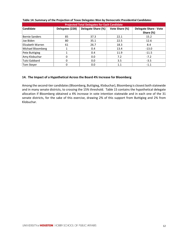| <b>Projected Total Delegates for Each Candidate</b> |                 |                    |                |                                           |  |  |  |  |
|-----------------------------------------------------|-----------------|--------------------|----------------|-------------------------------------------|--|--|--|--|
| Candidate                                           | Delegates (228) | Delegate Share (%) | Vote Share (%) | <b>Delegate Share - Vote</b><br>Share (%) |  |  |  |  |
|                                                     |                 |                    |                |                                           |  |  |  |  |
| Bernie Sanders                                      | 85              | 37.3               | 22.1           | 15.2                                      |  |  |  |  |
| Joe Biden                                           | 80              | 35.1               | 22.5           | 12.6                                      |  |  |  |  |
| Elizabeth Warren                                    | 61              | 26.7               | 18.3           | 8.4                                       |  |  |  |  |
| Michael Bloomberg                                   |                 | 0.4                | 13.4           | $-13.0$                                   |  |  |  |  |
| Pete Buttigieg                                      |                 | 0.4                | 11.9           | $-11.5$                                   |  |  |  |  |
| Amy Klobuchar                                       |                 | 0.0                | 7.2            | $-7.2$                                    |  |  |  |  |
| Tulsi Gabbard                                       | 0               | 0.0                | 3.5            | $-3.5$                                    |  |  |  |  |
| Tom Stever                                          |                 | 0.0                | 1.1            | $-1.1$                                    |  |  |  |  |

#### **Table 14: Summary of the Projection of Texas Delegates Won by Democratic Presidential Candidates**

#### **14. The Impact of a Hypothetical Across the Board 4% Increase for Bloomberg**

Among the second-tier candidates (Bloomberg, Buttigieg, Klobuchar), Bloomberg is closest both statewide and in many senate districts, to crossing the 15% threshold. Table 15 contains the hypothetical delegate allocation if Bloomberg obtained a 4% increase in vote intention statewide and in each one of the 31 senate districts, for the sake of this exercise, drawing 2% of this support from Buttigieg and 2% from Klobuchar.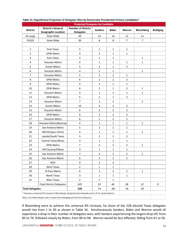| $\cdots$<br><b>Projected Delegates by Candidate</b>                                                       |                                                         |                                               |                |                |                |                  |                  |
|-----------------------------------------------------------------------------------------------------------|---------------------------------------------------------|-----------------------------------------------|----------------|----------------|----------------|------------------|------------------|
| <b>District</b>                                                                                           | <b>District's General</b><br><b>Geographic Location</b> | <b>Number of District</b><br><b>Delegates</b> | <b>Sanders</b> | <b>Biden</b>   | Warren         | <b>Bloomberg</b> | <b>Buttigieg</b> |
| At-Large                                                                                                  | State Wide                                              | 49                                            | 13             | 14             | 11             | 11               |                  |
| PLEOS                                                                                                     | <b>State Wide</b>                                       | 30                                            | 8              | 8              | $\overline{7}$ | $\overline{7}$   |                  |
|                                                                                                           |                                                         |                                               |                |                |                |                  |                  |
| $\mathbf{1}$                                                                                              | East Texas                                              | 3                                             | 1              | 1              | 1              |                  |                  |
| $\overline{2}$                                                                                            | DFW Metro                                               | 4                                             | $\overline{2}$ | $\mathbf{1}$   | 1              |                  |                  |
| 3                                                                                                         | East Texas                                              | 3                                             | 1              | $\mathbf 1$    |                | $\mathbf{1}$     |                  |
| 4                                                                                                         | Houston Metro                                           | $\pmb{4}$                                     | $\mathbf 1$    | $\mathbf{1}$   | $\mathbf{1}$   | $\mathbf{1}$     |                  |
| 5                                                                                                         | <b>Austin Metro</b>                                     | 5                                             | $\overline{2}$ | 1              | $\overline{2}$ |                  |                  |
| 6                                                                                                         | <b>Houston Metro</b>                                    | 4                                             | 2              | 1              |                | $\mathbf{1}$     |                  |
| $\overline{7}$                                                                                            | <b>Houston Metro</b>                                    | 5                                             | $\overline{2}$ | $\overline{2}$ | $\mathbf{1}$   |                  |                  |
| 8                                                                                                         | <b>DFW Metro</b>                                        | 6                                             | 2              | $\overline{2}$ | $\overline{2}$ |                  |                  |
| 9                                                                                                         | DFW Metro                                               | $\pmb{4}$                                     | $\overline{2}$ | 1              | 1              |                  |                  |
| 10                                                                                                        | <b>DFW Metro</b>                                        | 6                                             | $\overline{2}$ | 1              | $\overline{2}$ | $\mathbf{1}$     |                  |
| 11                                                                                                        | <b>Houston Metro</b>                                    | $\overline{\mathbf{4}}$                       | $\mathbf 1$    | 1              | $\mathbf 1$    | $\mathbf{1}$     |                  |
| 12                                                                                                        | <b>DFW Metro</b>                                        | 5                                             | $\overline{2}$ | $\mathbf{1}$   | $\overline{2}$ |                  |                  |
| 13                                                                                                        | <b>Houston Metro</b>                                    | $\overline{7}$                                | 2              | 3              |                | $\overline{2}$   |                  |
| 14                                                                                                        | <b>Austin Metro</b>                                     | 10                                            | 4              | 3              | 3              |                  |                  |
| 15                                                                                                        | Houston Metro                                           | 6                                             | $\overline{2}$ | $\overline{2}$ | $\overline{2}$ |                  |                  |
| 16                                                                                                        | <b>DFW Metro</b>                                        | 6                                             | $\overline{2}$ | $\overline{2}$ | $\overline{2}$ |                  |                  |
| 17                                                                                                        | <b>Houston Metro</b>                                    | 6                                             | 2              | $\overline{2}$ | 2              |                  |                  |
| 18                                                                                                        | Houston Metro/Bastrop                                   | 4                                             | 1              | $\mathbf 1$    | 1              | $\mathbf{1}$     |                  |
| 19                                                                                                        | San Antonio Metro                                       | 5                                             | $\overline{2}$ | $\overline{2}$ | $\mathbf{1}$   |                  |                  |
| 20                                                                                                        | RGV/Corpus Christi                                      | 4                                             | 1              | 1              | 1              | $\mathbf{1}$     |                  |
| 21                                                                                                        | Laredo/South Texas                                      | 5                                             | $\overline{2}$ | $\mathbf 1$    | $\overline{2}$ |                  |                  |
| 22                                                                                                        | Central Texas/Waco                                      | 3                                             | 1              | 1              | $\mathbf{1}$   |                  |                  |
| 23                                                                                                        | <b>DFW Metro</b>                                        | $\overline{7}$                                | $\overline{2}$ | $\overline{2}$ | $\overline{2}$ | $\mathbf{1}$     |                  |
| 24                                                                                                        | Hill Country/Killeen                                    | 3                                             | 1              | 1              | 1              |                  |                  |
| 25                                                                                                        | San Antonio Metro                                       | 7                                             | 2              | 2              | 2              | $\mathbf{1}$     |                  |
| 26                                                                                                        | San Antonio Metro                                       | 6                                             | $\overline{2}$ | $\overline{2}$ | $\overline{2}$ |                  |                  |
| 27                                                                                                        | RGV                                                     | 4                                             | $\overline{2}$ | $\overline{2}$ |                |                  |                  |
| 28                                                                                                        | West Texas                                              | $\overline{2}$                                | $\mathbf 1$    | $\mathbf{1}$   |                |                  |                  |
| 29                                                                                                        | El Paso Metro                                           | 6                                             | $\overline{2}$ | $\overline{2}$ | $\mathbf{1}$   | $\mathbf{1}$     |                  |
| 30                                                                                                        | North Texas                                             | 3                                             | $\mathbf 1$    | $\mathbf 1$    | $\mathbf 1$    |                  |                  |
| 31                                                                                                        | West Texas                                              | $\overline{2}$                                | 1              | 1              |                |                  |                  |
| <b>Total District Delegates</b>                                                                           |                                                         | 149                                           | 53             | 46             | 38             | 12               | 0                |
| <b>Total Delegates</b>                                                                                    |                                                         | 228                                           | 74             | 68             | 56             | 30               |                  |
| * Assumes a universal 4% increase in Bloomberg's projected vote statewide and in all 31 senate districts. |                                                         |                                               |                |                |                |                  |                  |
| Note: 2% of Bloomberg's vote is drawn from Buttigieg and 2% from Klobuchar.                               |                                                         |                                               |                |                |                |                  |                  |

#### **Table 15: Hypothetical Projection of Delegates Won by Democratic Presidential Primary Candidates\***

If Bloomberg were to achieve this universal 4% increase, his share of the 228 elected Texas delegates would rise from 1 to 30 as shown in Table 16. Simultaneously Sanders, Biden and Warren would all experience a drop in their number of delegates won, with Sanders experiencing the largest drop off, from 85 to 74, followed closely by Biden, from 80 to 68. Warren would be less affected, falling from 61 to 56.